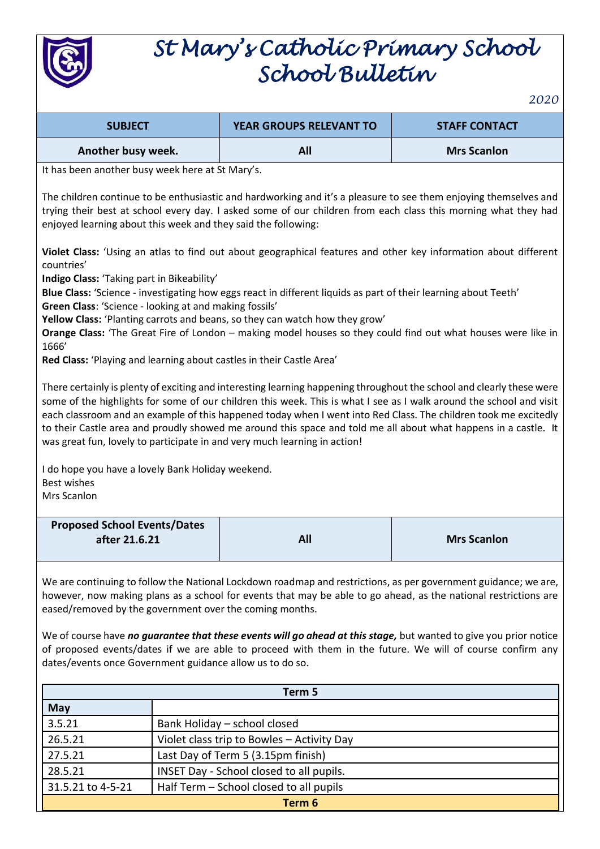

## *St Mary's Catholic Primary School School Bulletin*

*2020*

| <b>SUBJECT</b>     | <b>YEAR GROUPS RELEVANT TO</b> | <b>STAFF CONTACT</b> |
|--------------------|--------------------------------|----------------------|
| Another busy week. | All                            | <b>Mrs Scanlon</b>   |

It has been another busy week here at St Mary's.

The children continue to be enthusiastic and hardworking and it's a pleasure to see them enjoying themselves and trying their best at school every day. I asked some of our children from each class this morning what they had enjoyed learning about this week and they said the following:

**Violet Class:** 'Using an atlas to find out about geographical features and other key information about different countries'

**Indigo Class:** 'Taking part in Bikeability'

**Blue Class:** 'Science - investigating how eggs react in different liquids as part of their learning about Teeth' **Green Class**: 'Science - looking at and making fossils'

**Yellow Class:** 'Planting carrots and beans, so they can watch how they grow'

**Orange Class:** 'The Great Fire of London – making model houses so they could find out what houses were like in 1666'

**Red Class:** 'Playing and learning about castles in their Castle Area'

There certainly is plenty of exciting and interesting learning happening throughout the school and clearly these were some of the highlights for some of our children this week. This is what I see as I walk around the school and visit each classroom and an example of this happened today when I went into Red Class. The children took me excitedly to their Castle area and proudly showed me around this space and told me all about what happens in a castle. It was great fun, lovely to participate in and very much learning in action!

I do hope you have a lovely Bank Holiday weekend. Best wishes Mrs Scanlon

| <b>Proposed School Events/Dates</b> |     |                    |
|-------------------------------------|-----|--------------------|
| after 21.6.21                       | All | <b>Mrs Scanlon</b> |
|                                     |     |                    |

We are continuing to follow the National Lockdown roadmap and restrictions, as per government guidance; we are, however, now making plans as a school for events that may be able to go ahead, as the national restrictions are eased/removed by the government over the coming months.

We of course have *no quarantee that these events will go ahead at this stage*, but wanted to give you prior notice of proposed events/dates if we are able to proceed with them in the future. We will of course confirm any dates/events once Government guidance allow us to do so.

| Term 5            |                                            |  |  |
|-------------------|--------------------------------------------|--|--|
| <b>May</b>        |                                            |  |  |
| 3.5.21            | Bank Holiday - school closed               |  |  |
| 26.5.21           | Violet class trip to Bowles - Activity Day |  |  |
| 27.5.21           | Last Day of Term 5 (3.15pm finish)         |  |  |
| 28.5.21           | INSET Day - School closed to all pupils.   |  |  |
| 31.5.21 to 4-5-21 | Half Term - School closed to all pupils    |  |  |
| Term 6            |                                            |  |  |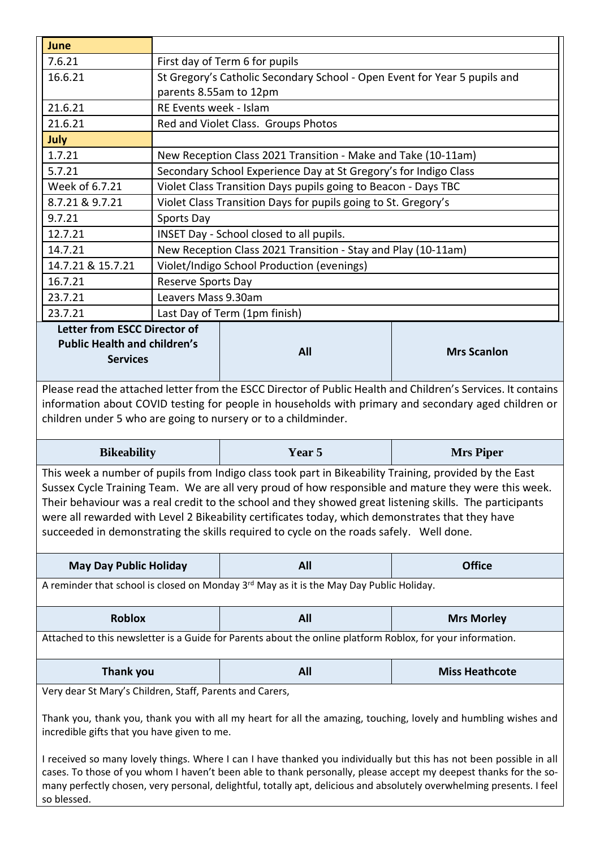| June                                                                                                                                                                                                                                                                                                                                                                                                                                                                                                                                                                                           |                                                                                                     |                                                               |                       |  |  |
|------------------------------------------------------------------------------------------------------------------------------------------------------------------------------------------------------------------------------------------------------------------------------------------------------------------------------------------------------------------------------------------------------------------------------------------------------------------------------------------------------------------------------------------------------------------------------------------------|-----------------------------------------------------------------------------------------------------|---------------------------------------------------------------|-----------------------|--|--|
| 7.6.21                                                                                                                                                                                                                                                                                                                                                                                                                                                                                                                                                                                         | First day of Term 6 for pupils                                                                      |                                                               |                       |  |  |
| 16.6.21                                                                                                                                                                                                                                                                                                                                                                                                                                                                                                                                                                                        |                                                                                                     |                                                               |                       |  |  |
|                                                                                                                                                                                                                                                                                                                                                                                                                                                                                                                                                                                                | St Gregory's Catholic Secondary School - Open Event for Year 5 pupils and<br>parents 8.55am to 12pm |                                                               |                       |  |  |
| 21.6.21                                                                                                                                                                                                                                                                                                                                                                                                                                                                                                                                                                                        | RE Events week - Islam                                                                              |                                                               |                       |  |  |
| 21.6.21                                                                                                                                                                                                                                                                                                                                                                                                                                                                                                                                                                                        |                                                                                                     | Red and Violet Class. Groups Photos                           |                       |  |  |
| July                                                                                                                                                                                                                                                                                                                                                                                                                                                                                                                                                                                           |                                                                                                     |                                                               |                       |  |  |
| 1.7.21                                                                                                                                                                                                                                                                                                                                                                                                                                                                                                                                                                                         |                                                                                                     | New Reception Class 2021 Transition - Make and Take (10-11am) |                       |  |  |
| 5.7.21                                                                                                                                                                                                                                                                                                                                                                                                                                                                                                                                                                                         | Secondary School Experience Day at St Gregory's for Indigo Class                                    |                                                               |                       |  |  |
| Week of 6.7.21                                                                                                                                                                                                                                                                                                                                                                                                                                                                                                                                                                                 | Violet Class Transition Days pupils going to Beacon - Days TBC                                      |                                                               |                       |  |  |
| 8.7.21 & 9.7.21                                                                                                                                                                                                                                                                                                                                                                                                                                                                                                                                                                                | Violet Class Transition Days for pupils going to St. Gregory's                                      |                                                               |                       |  |  |
| 9.7.21                                                                                                                                                                                                                                                                                                                                                                                                                                                                                                                                                                                         | Sports Day                                                                                          |                                                               |                       |  |  |
| 12.7.21                                                                                                                                                                                                                                                                                                                                                                                                                                                                                                                                                                                        |                                                                                                     | INSET Day - School closed to all pupils.                      |                       |  |  |
| 14.7.21                                                                                                                                                                                                                                                                                                                                                                                                                                                                                                                                                                                        | New Reception Class 2021 Transition - Stay and Play (10-11am)                                       |                                                               |                       |  |  |
| 14.7.21 & 15.7.21                                                                                                                                                                                                                                                                                                                                                                                                                                                                                                                                                                              |                                                                                                     | Violet/Indigo School Production (evenings)                    |                       |  |  |
| 16.7.21                                                                                                                                                                                                                                                                                                                                                                                                                                                                                                                                                                                        | <b>Reserve Sports Day</b>                                                                           |                                                               |                       |  |  |
| 23.7.21                                                                                                                                                                                                                                                                                                                                                                                                                                                                                                                                                                                        | Leavers Mass 9.30am                                                                                 |                                                               |                       |  |  |
| 23.7.21                                                                                                                                                                                                                                                                                                                                                                                                                                                                                                                                                                                        |                                                                                                     | Last Day of Term (1pm finish)                                 |                       |  |  |
| <b>Letter from ESCC Director of</b><br><b>Public Health and children's</b><br><b>Services</b>                                                                                                                                                                                                                                                                                                                                                                                                                                                                                                  |                                                                                                     | All                                                           | <b>Mrs Scanlon</b>    |  |  |
| Please read the attached letter from the ESCC Director of Public Health and Children's Services. It contains<br>information about COVID testing for people in households with primary and secondary aged children or<br>children under 5 who are going to nursery or to a childminder.                                                                                                                                                                                                                                                                                                         |                                                                                                     |                                                               |                       |  |  |
| <b>Bikeability</b>                                                                                                                                                                                                                                                                                                                                                                                                                                                                                                                                                                             |                                                                                                     | Year 5                                                        | <b>Mrs Piper</b>      |  |  |
| This week a number of pupils from Indigo class took part in Bikeability Training, provided by the East<br>Sussex Cycle Training Team. We are all very proud of how responsible and mature they were this week.<br>Their behaviour was a real credit to the school and they showed great listening skills. The participants<br>were all rewarded with Level 2 Bikeability certificates today, which demonstrates that they have<br>succeeded in demonstrating the skills required to cycle on the roads safely. Well done.                                                                      |                                                                                                     |                                                               |                       |  |  |
| <b>May Day Public Holiday</b>                                                                                                                                                                                                                                                                                                                                                                                                                                                                                                                                                                  |                                                                                                     | All                                                           | <b>Office</b>         |  |  |
| A reminder that school is closed on Monday 3 <sup>rd</sup> May as it is the May Day Public Holiday.                                                                                                                                                                                                                                                                                                                                                                                                                                                                                            |                                                                                                     |                                                               |                       |  |  |
| <b>Roblox</b>                                                                                                                                                                                                                                                                                                                                                                                                                                                                                                                                                                                  |                                                                                                     | All                                                           | <b>Mrs Morley</b>     |  |  |
| Attached to this newsletter is a Guide for Parents about the online platform Roblox, for your information.                                                                                                                                                                                                                                                                                                                                                                                                                                                                                     |                                                                                                     |                                                               |                       |  |  |
| <b>Thank you</b>                                                                                                                                                                                                                                                                                                                                                                                                                                                                                                                                                                               |                                                                                                     | All                                                           | <b>Miss Heathcote</b> |  |  |
| Very dear St Mary's Children, Staff, Parents and Carers,<br>Thank you, thank you, thank you with all my heart for all the amazing, touching, lovely and humbling wishes and<br>incredible gifts that you have given to me.<br>I received so many lovely things. Where I can I have thanked you individually but this has not been possible in all<br>cases. To those of you whom I haven't been able to thank personally, please accept my deepest thanks for the so-<br>many perfectly chosen, very personal, delightful, totally apt, delicious and absolutely overwhelming presents. I feel |                                                                                                     |                                                               |                       |  |  |

so blessed.